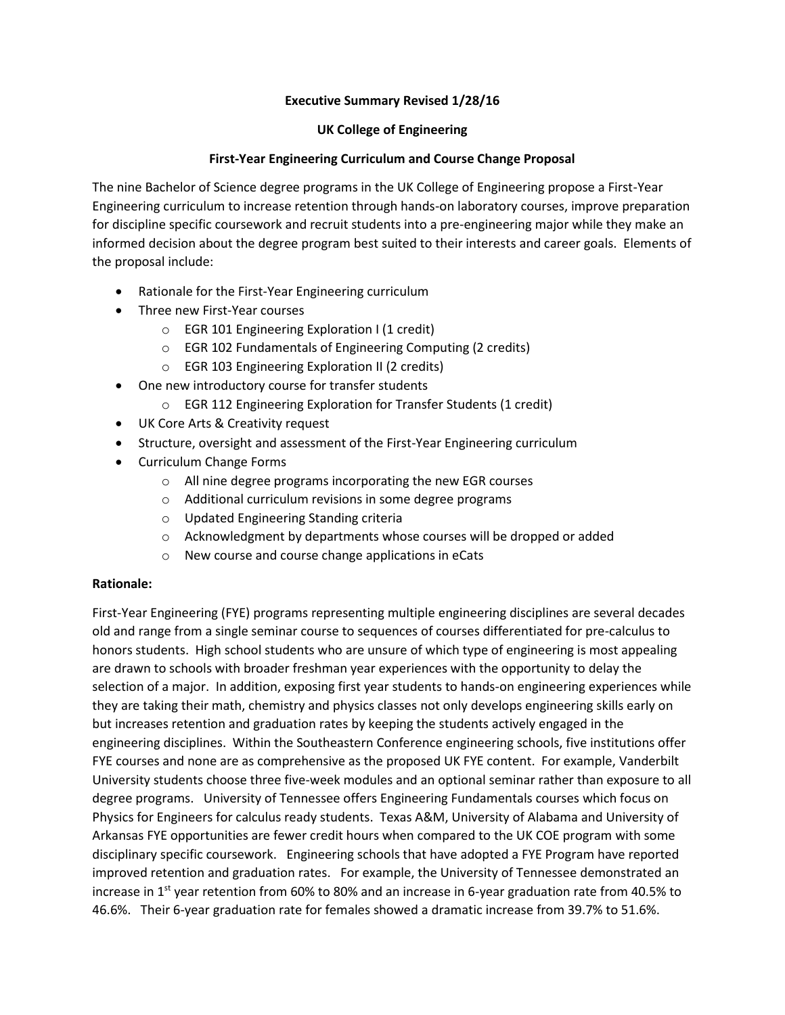# **Executive Summary Revised 1/28/16**

## **UK College of Engineering**

# **First-Year Engineering Curriculum and Course Change Proposal**

The nine Bachelor of Science degree programs in the UK College of Engineering propose a First-Year Engineering curriculum to increase retention through hands-on laboratory courses, improve preparation for discipline specific coursework and recruit students into a pre-engineering major while they make an informed decision about the degree program best suited to their interests and career goals. Elements of the proposal include:

- Rationale for the First-Year Engineering curriculum
- Three new First-Year courses
	- o EGR 101 Engineering Exploration I (1 credit)
	- o EGR 102 Fundamentals of Engineering Computing (2 credits)
	- o EGR 103 Engineering Exploration II (2 credits)
- One new introductory course for transfer students
	- o EGR 112 Engineering Exploration for Transfer Students (1 credit)
- UK Core Arts & Creativity request
- Structure, oversight and assessment of the First-Year Engineering curriculum
- Curriculum Change Forms
	- o All nine degree programs incorporating the new EGR courses
	- o Additional curriculum revisions in some degree programs
	- o Updated Engineering Standing criteria
	- $\circ$  Acknowledgment by departments whose courses will be dropped or added
	- o New course and course change applications in eCats

## **Rationale:**

First-Year Engineering (FYE) programs representing multiple engineering disciplines are several decades old and range from a single seminar course to sequences of courses differentiated for pre-calculus to honors students. High school students who are unsure of which type of engineering is most appealing are drawn to schools with broader freshman year experiences with the opportunity to delay the selection of a major. In addition, exposing first year students to hands-on engineering experiences while they are taking their math, chemistry and physics classes not only develops engineering skills early on but increases retention and graduation rates by keeping the students actively engaged in the engineering disciplines. Within the Southeastern Conference engineering schools, five institutions offer FYE courses and none are as comprehensive as the proposed UK FYE content. For example, Vanderbilt University students choose three five-week modules and an optional seminar rather than exposure to all degree programs. University of Tennessee offers Engineering Fundamentals courses which focus on Physics for Engineers for calculus ready students. Texas A&M, University of Alabama and University of Arkansas FYE opportunities are fewer credit hours when compared to the UK COE program with some disciplinary specific coursework. Engineering schools that have adopted a FYE Program have reported improved retention and graduation rates. For example, the University of Tennessee demonstrated an increase in  $1^{st}$  year retention from 60% to 80% and an increase in 6-year graduation rate from 40.5% to 46.6%. Their 6-year graduation rate for females showed a dramatic increase from 39.7% to 51.6%.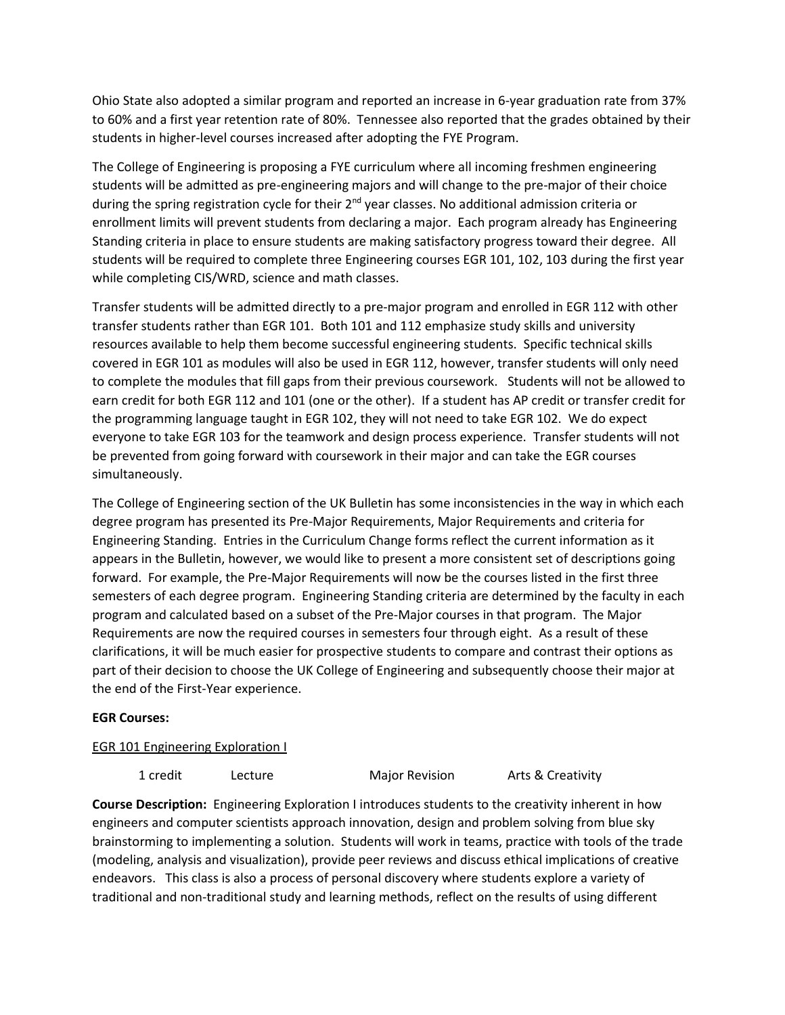Ohio State also adopted a similar program and reported an increase in 6-year graduation rate from 37% to 60% and a first year retention rate of 80%. Tennessee also reported that the grades obtained by their students in higher-level courses increased after adopting the FYE Program.

The College of Engineering is proposing a FYE curriculum where all incoming freshmen engineering students will be admitted as pre-engineering majors and will change to the pre-major of their choice during the spring registration cycle for their 2<sup>nd</sup> year classes. No additional admission criteria or enrollment limits will prevent students from declaring a major. Each program already has Engineering Standing criteria in place to ensure students are making satisfactory progress toward their degree. All students will be required to complete three Engineering courses EGR 101, 102, 103 during the first year while completing CIS/WRD, science and math classes.

Transfer students will be admitted directly to a pre-major program and enrolled in EGR 112 with other transfer students rather than EGR 101. Both 101 and 112 emphasize study skills and university resources available to help them become successful engineering students. Specific technical skills covered in EGR 101 as modules will also be used in EGR 112, however, transfer students will only need to complete the modules that fill gaps from their previous coursework. Students will not be allowed to earn credit for both EGR 112 and 101 (one or the other). If a student has AP credit or transfer credit for the programming language taught in EGR 102, they will not need to take EGR 102. We do expect everyone to take EGR 103 for the teamwork and design process experience. Transfer students will not be prevented from going forward with coursework in their major and can take the EGR courses simultaneously.

The College of Engineering section of the UK Bulletin has some inconsistencies in the way in which each degree program has presented its Pre-Major Requirements, Major Requirements and criteria for Engineering Standing. Entries in the Curriculum Change forms reflect the current information as it appears in the Bulletin, however, we would like to present a more consistent set of descriptions going forward. For example, the Pre-Major Requirements will now be the courses listed in the first three semesters of each degree program. Engineering Standing criteria are determined by the faculty in each program and calculated based on a subset of the Pre-Major courses in that program. The Major Requirements are now the required courses in semesters four through eight. As a result of these clarifications, it will be much easier for prospective students to compare and contrast their options as part of their decision to choose the UK College of Engineering and subsequently choose their major at the end of the First-Year experience.

## **EGR Courses:**

# **EGR 101 Engineering Exploration I**

1 credit Lecture Major Revision Arts & Creativity

**Course Description:** Engineering Exploration I introduces students to the creativity inherent in how engineers and computer scientists approach innovation, design and problem solving from blue sky brainstorming to implementing a solution. Students will work in teams, practice with tools of the trade (modeling, analysis and visualization), provide peer reviews and discuss ethical implications of creative endeavors. This class is also a process of personal discovery where students explore a variety of traditional and non-traditional study and learning methods, reflect on the results of using different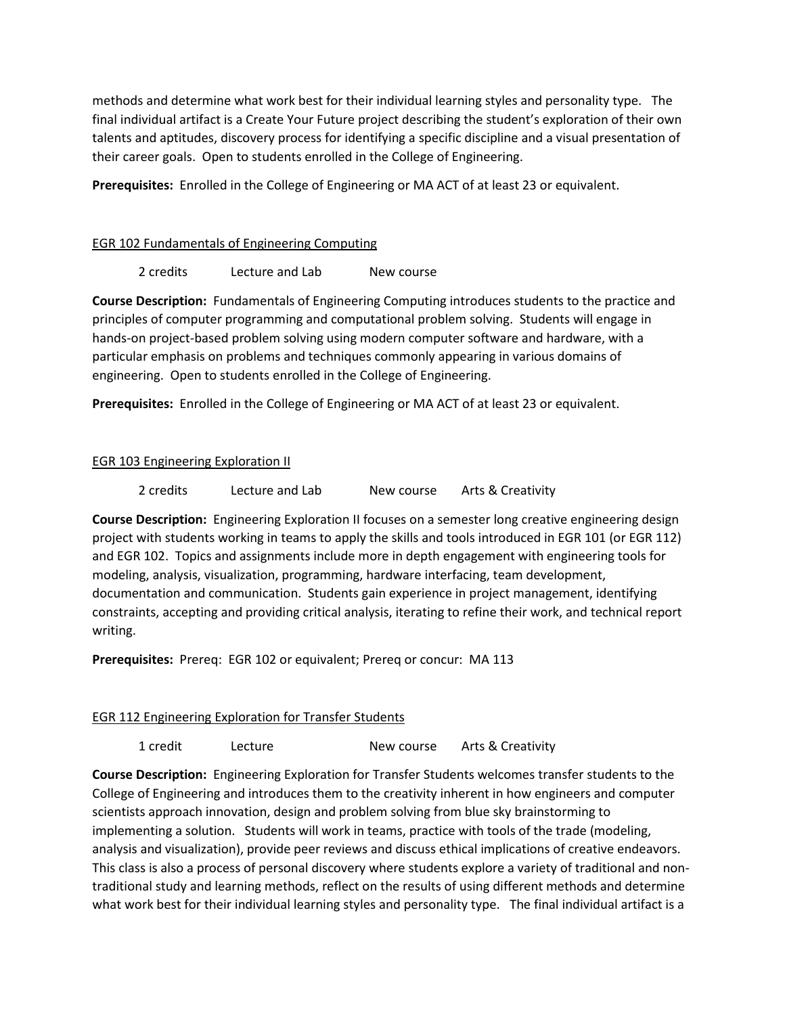methods and determine what work best for their individual learning styles and personality type. The final individual artifact is a Create Your Future project describing the student's exploration of their own talents and aptitudes, discovery process for identifying a specific discipline and a visual presentation of their career goals. Open to students enrolled in the College of Engineering.

**Prerequisites:** Enrolled in the College of Engineering or MA ACT of at least 23 or equivalent.

# EGR 102 Fundamentals of Engineering Computing

2 credits Lecture and Lab New course

**Course Description:** Fundamentals of Engineering Computing introduces students to the practice and principles of computer programming and computational problem solving. Students will engage in hands-on project-based problem solving using modern computer software and hardware, with a particular emphasis on problems and techniques commonly appearing in various domains of engineering. Open to students enrolled in the College of Engineering.

**Prerequisites:** Enrolled in the College of Engineering or MA ACT of at least 23 or equivalent.

# EGR 103 Engineering Exploration II

2 credits Lecture and Lab New course Arts & Creativity

**Course Description:** Engineering Exploration II focuses on a semester long creative engineering design project with students working in teams to apply the skills and tools introduced in EGR 101 (or EGR 112) and EGR 102. Topics and assignments include more in depth engagement with engineering tools for modeling, analysis, visualization, programming, hardware interfacing, team development, documentation and communication. Students gain experience in project management, identifying constraints, accepting and providing critical analysis, iterating to refine their work, and technical report writing.

**Prerequisites:** Prereq: EGR 102 or equivalent; Prereq or concur: MA 113

## EGR 112 Engineering Exploration for Transfer Students

1 credit Lecture New course Arts & Creativity

**Course Description:** Engineering Exploration for Transfer Students welcomes transfer students to the College of Engineering and introduces them to the creativity inherent in how engineers and computer scientists approach innovation, design and problem solving from blue sky brainstorming to implementing a solution. Students will work in teams, practice with tools of the trade (modeling, analysis and visualization), provide peer reviews and discuss ethical implications of creative endeavors. This class is also a process of personal discovery where students explore a variety of traditional and nontraditional study and learning methods, reflect on the results of using different methods and determine what work best for their individual learning styles and personality type. The final individual artifact is a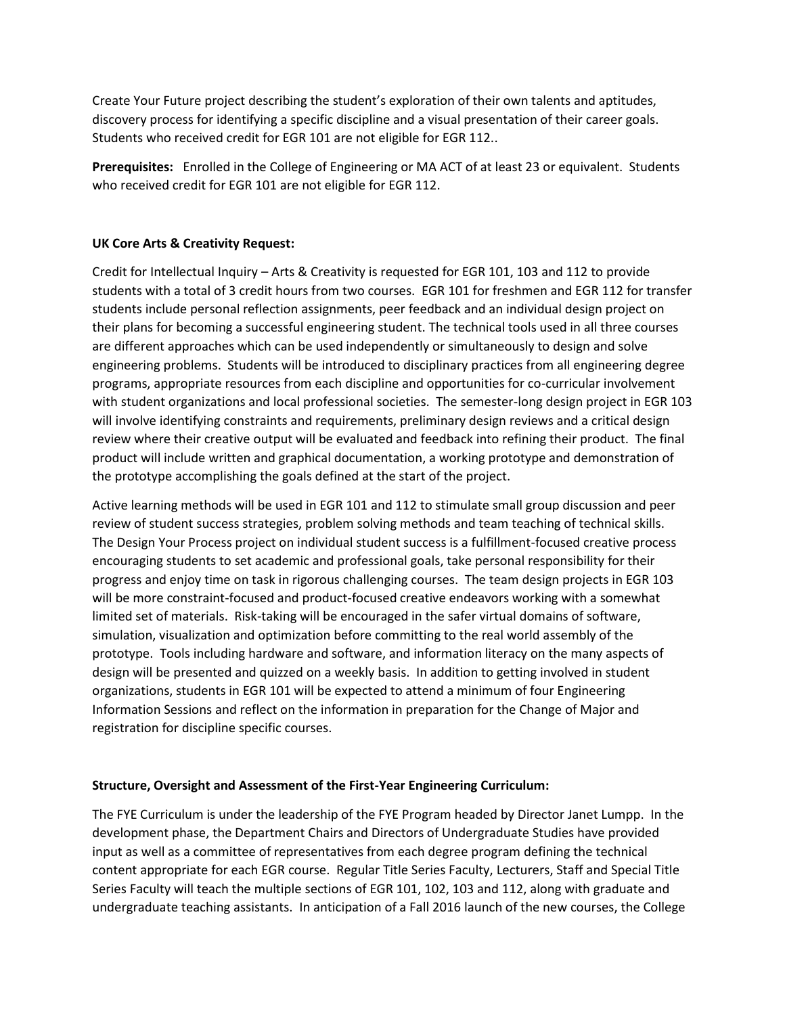Create Your Future project describing the student's exploration of their own talents and aptitudes, discovery process for identifying a specific discipline and a visual presentation of their career goals. Students who received credit for EGR 101 are not eligible for EGR 112..

**Prerequisites:** Enrolled in the College of Engineering or MA ACT of at least 23 or equivalent. Students who received credit for EGR 101 are not eligible for EGR 112.

# **UK Core Arts & Creativity Request:**

Credit for Intellectual Inquiry – Arts & Creativity is requested for EGR 101, 103 and 112 to provide students with a total of 3 credit hours from two courses. EGR 101 for freshmen and EGR 112 for transfer students include personal reflection assignments, peer feedback and an individual design project on their plans for becoming a successful engineering student. The technical tools used in all three courses are different approaches which can be used independently or simultaneously to design and solve engineering problems. Students will be introduced to disciplinary practices from all engineering degree programs, appropriate resources from each discipline and opportunities for co-curricular involvement with student organizations and local professional societies. The semester-long design project in EGR 103 will involve identifying constraints and requirements, preliminary design reviews and a critical design review where their creative output will be evaluated and feedback into refining their product. The final product will include written and graphical documentation, a working prototype and demonstration of the prototype accomplishing the goals defined at the start of the project.

Active learning methods will be used in EGR 101 and 112 to stimulate small group discussion and peer review of student success strategies, problem solving methods and team teaching of technical skills. The Design Your Process project on individual student success is a fulfillment-focused creative process encouraging students to set academic and professional goals, take personal responsibility for their progress and enjoy time on task in rigorous challenging courses. The team design projects in EGR 103 will be more constraint-focused and product-focused creative endeavors working with a somewhat limited set of materials. Risk-taking will be encouraged in the safer virtual domains of software, simulation, visualization and optimization before committing to the real world assembly of the prototype. Tools including hardware and software, and information literacy on the many aspects of design will be presented and quizzed on a weekly basis. In addition to getting involved in student organizations, students in EGR 101 will be expected to attend a minimum of four Engineering Information Sessions and reflect on the information in preparation for the Change of Major and registration for discipline specific courses.

## **Structure, Oversight and Assessment of the First-Year Engineering Curriculum:**

The FYE Curriculum is under the leadership of the FYE Program headed by Director Janet Lumpp. In the development phase, the Department Chairs and Directors of Undergraduate Studies have provided input as well as a committee of representatives from each degree program defining the technical content appropriate for each EGR course. Regular Title Series Faculty, Lecturers, Staff and Special Title Series Faculty will teach the multiple sections of EGR 101, 102, 103 and 112, along with graduate and undergraduate teaching assistants. In anticipation of a Fall 2016 launch of the new courses, the College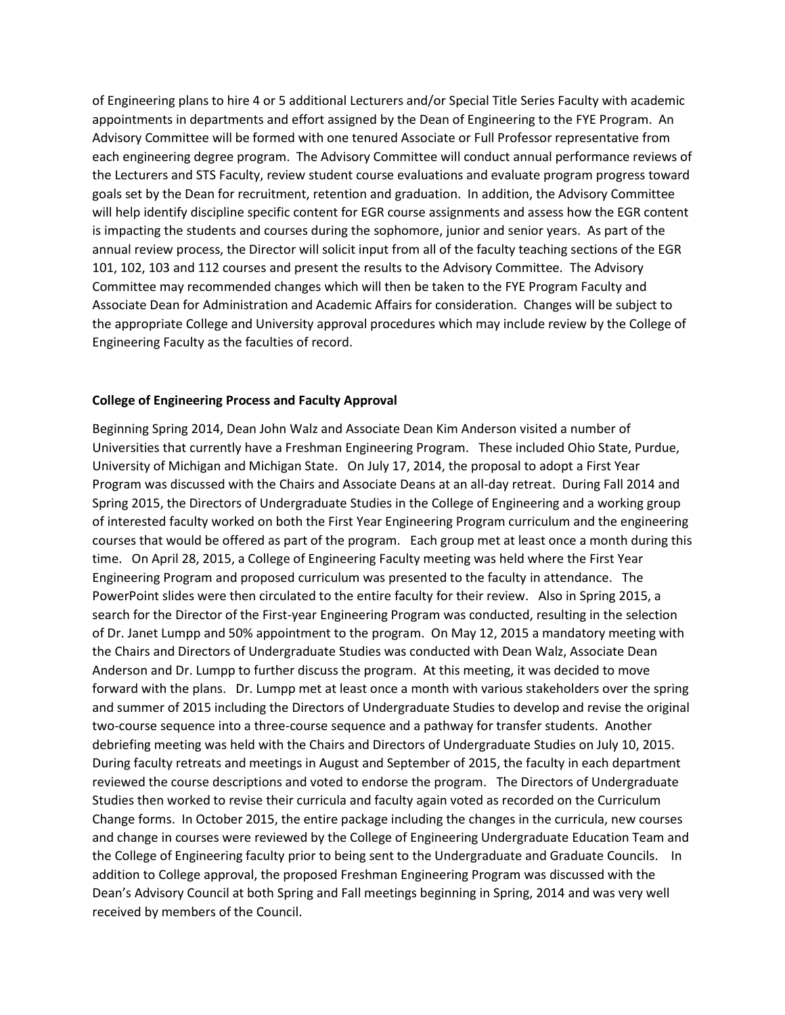of Engineering plans to hire 4 or 5 additional Lecturers and/or Special Title Series Faculty with academic appointments in departments and effort assigned by the Dean of Engineering to the FYE Program. An Advisory Committee will be formed with one tenured Associate or Full Professor representative from each engineering degree program. The Advisory Committee will conduct annual performance reviews of the Lecturers and STS Faculty, review student course evaluations and evaluate program progress toward goals set by the Dean for recruitment, retention and graduation. In addition, the Advisory Committee will help identify discipline specific content for EGR course assignments and assess how the EGR content is impacting the students and courses during the sophomore, junior and senior years. As part of the annual review process, the Director will solicit input from all of the faculty teaching sections of the EGR 101, 102, 103 and 112 courses and present the results to the Advisory Committee. The Advisory Committee may recommended changes which will then be taken to the FYE Program Faculty and Associate Dean for Administration and Academic Affairs for consideration. Changes will be subject to the appropriate College and University approval procedures which may include review by the College of Engineering Faculty as the faculties of record.

#### **College of Engineering Process and Faculty Approval**

Beginning Spring 2014, Dean John Walz and Associate Dean Kim Anderson visited a number of Universities that currently have a Freshman Engineering Program. These included Ohio State, Purdue, University of Michigan and Michigan State. On July 17, 2014, the proposal to adopt a First Year Program was discussed with the Chairs and Associate Deans at an all-day retreat. During Fall 2014 and Spring 2015, the Directors of Undergraduate Studies in the College of Engineering and a working group of interested faculty worked on both the First Year Engineering Program curriculum and the engineering courses that would be offered as part of the program. Each group met at least once a month during this time. On April 28, 2015, a College of Engineering Faculty meeting was held where the First Year Engineering Program and proposed curriculum was presented to the faculty in attendance. The PowerPoint slides were then circulated to the entire faculty for their review. Also in Spring 2015, a search for the Director of the First-year Engineering Program was conducted, resulting in the selection of Dr. Janet Lumpp and 50% appointment to the program. On May 12, 2015 a mandatory meeting with the Chairs and Directors of Undergraduate Studies was conducted with Dean Walz, Associate Dean Anderson and Dr. Lumpp to further discuss the program. At this meeting, it was decided to move forward with the plans. Dr. Lumpp met at least once a month with various stakeholders over the spring and summer of 2015 including the Directors of Undergraduate Studies to develop and revise the original two-course sequence into a three-course sequence and a pathway for transfer students. Another debriefing meeting was held with the Chairs and Directors of Undergraduate Studies on July 10, 2015. During faculty retreats and meetings in August and September of 2015, the faculty in each department reviewed the course descriptions and voted to endorse the program. The Directors of Undergraduate Studies then worked to revise their curricula and faculty again voted as recorded on the Curriculum Change forms. In October 2015, the entire package including the changes in the curricula, new courses and change in courses were reviewed by the College of Engineering Undergraduate Education Team and the College of Engineering faculty prior to being sent to the Undergraduate and Graduate Councils. In addition to College approval, the proposed Freshman Engineering Program was discussed with the Dean's Advisory Council at both Spring and Fall meetings beginning in Spring, 2014 and was very well received by members of the Council.